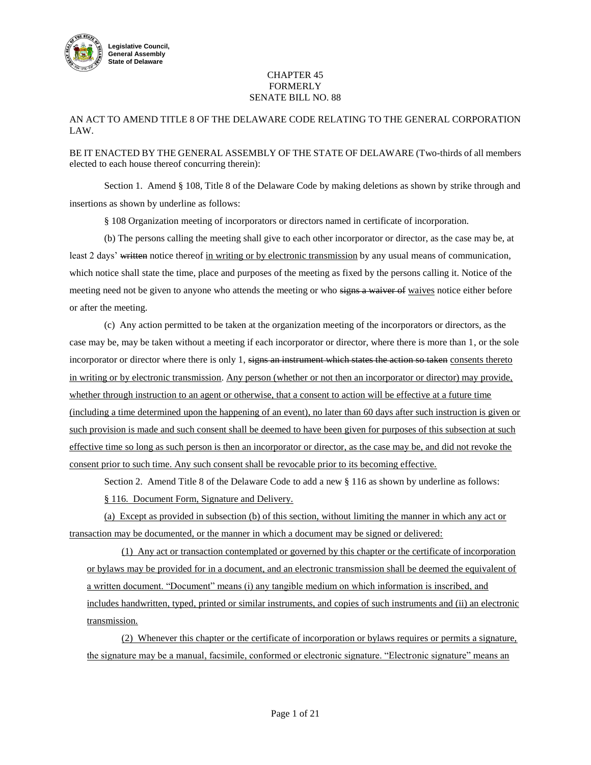

## CHAPTER 45 FORMERLY SENATE BILL NO. 88

AN ACT TO AMEND TITLE 8 OF THE DELAWARE CODE RELATING TO THE GENERAL CORPORATION LAW.

BE IT ENACTED BY THE GENERAL ASSEMBLY OF THE STATE OF DELAWARE (Two-thirds of all members elected to each house thereof concurring therein):

Section 1. Amend § 108, Title 8 of the Delaware Code by making deletions as shown by strike through and insertions as shown by underline as follows:

§ 108 Organization meeting of incorporators or directors named in certificate of incorporation.

(b) The persons calling the meeting shall give to each other incorporator or director, as the case may be, at least 2 days' written notice thereof in writing or by electronic transmission by any usual means of communication, which notice shall state the time, place and purposes of the meeting as fixed by the persons calling it. Notice of the meeting need not be given to anyone who attends the meeting or who signs a waiver of waives notice either before or after the meeting.

(c) Any action permitted to be taken at the organization meeting of the incorporators or directors, as the case may be, may be taken without a meeting if each incorporator or director, where there is more than 1, or the sole incorporator or director where there is only 1, signs an instrument which states the action so taken consents thereto in writing or by electronic transmission. Any person (whether or not then an incorporator or director) may provide, whether through instruction to an agent or otherwise, that a consent to action will be effective at a future time (including a time determined upon the happening of an event), no later than 60 days after such instruction is given or such provision is made and such consent shall be deemed to have been given for purposes of this subsection at such effective time so long as such person is then an incorporator or director, as the case may be, and did not revoke the consent prior to such time. Any such consent shall be revocable prior to its becoming effective.

Section 2. Amend Title 8 of the Delaware Code to add a new § 116 as shown by underline as follows:

§ 116. Document Form, Signature and Delivery.

(a) Except as provided in subsection (b) of this section, without limiting the manner in which any act or transaction may be documented, or the manner in which a document may be signed or delivered:

(1) Any act or transaction contemplated or governed by this chapter or the certificate of incorporation or bylaws may be provided for in a document, and an electronic transmission shall be deemed the equivalent of a written document. "Document" means (i) any tangible medium on which information is inscribed, and includes handwritten, typed, printed or similar instruments, and copies of such instruments and (ii) an electronic transmission.

(2) Whenever this chapter or the certificate of incorporation or bylaws requires or permits a signature, the signature may be a manual, facsimile, conformed or electronic signature. "Electronic signature" means an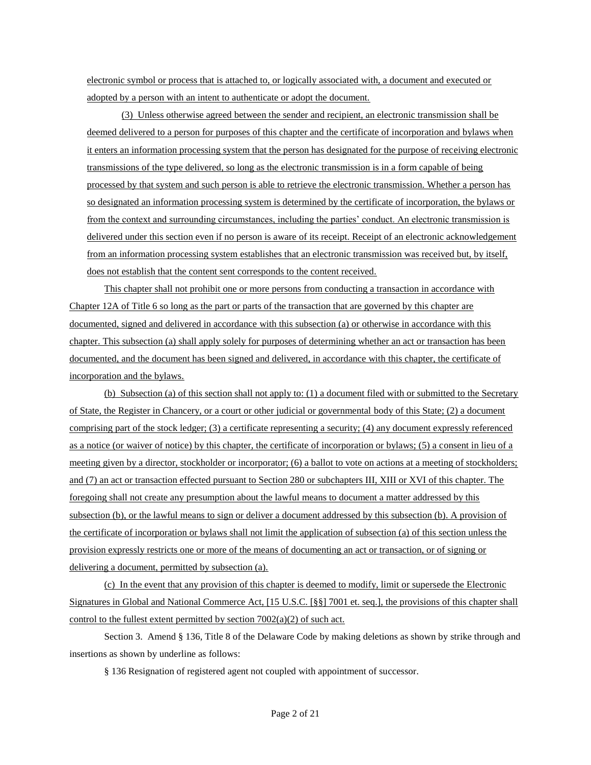electronic symbol or process that is attached to, or logically associated with, a document and executed or adopted by a person with an intent to authenticate or adopt the document.

(3) Unless otherwise agreed between the sender and recipient, an electronic transmission shall be deemed delivered to a person for purposes of this chapter and the certificate of incorporation and bylaws when it enters an information processing system that the person has designated for the purpose of receiving electronic transmissions of the type delivered, so long as the electronic transmission is in a form capable of being processed by that system and such person is able to retrieve the electronic transmission. Whether a person has so designated an information processing system is determined by the certificate of incorporation, the bylaws or from the context and surrounding circumstances, including the parties' conduct. An electronic transmission is delivered under this section even if no person is aware of its receipt. Receipt of an electronic acknowledgement from an information processing system establishes that an electronic transmission was received but, by itself, does not establish that the content sent corresponds to the content received.

This chapter shall not prohibit one or more persons from conducting a transaction in accordance with Chapter 12A of Title 6 so long as the part or parts of the transaction that are governed by this chapter are documented, signed and delivered in accordance with this subsection (a) or otherwise in accordance with this chapter. This subsection (a) shall apply solely for purposes of determining whether an act or transaction has been documented, and the document has been signed and delivered, in accordance with this chapter, the certificate of incorporation and the bylaws.

(b) Subsection (a) of this section shall not apply to: (1) a document filed with or submitted to the Secretary of State, the Register in Chancery, or a court or other judicial or governmental body of this State; (2) a document comprising part of the stock ledger; (3) a certificate representing a security; (4) any document expressly referenced as a notice (or waiver of notice) by this chapter, the certificate of incorporation or bylaws; (5) a consent in lieu of a meeting given by a director, stockholder or incorporator; (6) a ballot to vote on actions at a meeting of stockholders; and (7) an act or transaction effected pursuant to Section 280 or subchapters III, XIII or XVI of this chapter. The foregoing shall not create any presumption about the lawful means to document a matter addressed by this subsection (b), or the lawful means to sign or deliver a document addressed by this subsection (b). A provision of the certificate of incorporation or bylaws shall not limit the application of subsection (a) of this section unless the provision expressly restricts one or more of the means of documenting an act or transaction, or of signing or delivering a document, permitted by subsection (a).

(c) In the event that any provision of this chapter is deemed to modify, limit or supersede the Electronic Signatures in Global and National Commerce Act, [15 U.S.C. [§§] 7001 et. seq.], the provisions of this chapter shall control to the fullest extent permitted by section  $7002(a)(2)$  of such act.

Section 3. Amend § 136, Title 8 of the Delaware Code by making deletions as shown by strike through and insertions as shown by underline as follows:

§ 136 Resignation of registered agent not coupled with appointment of successor.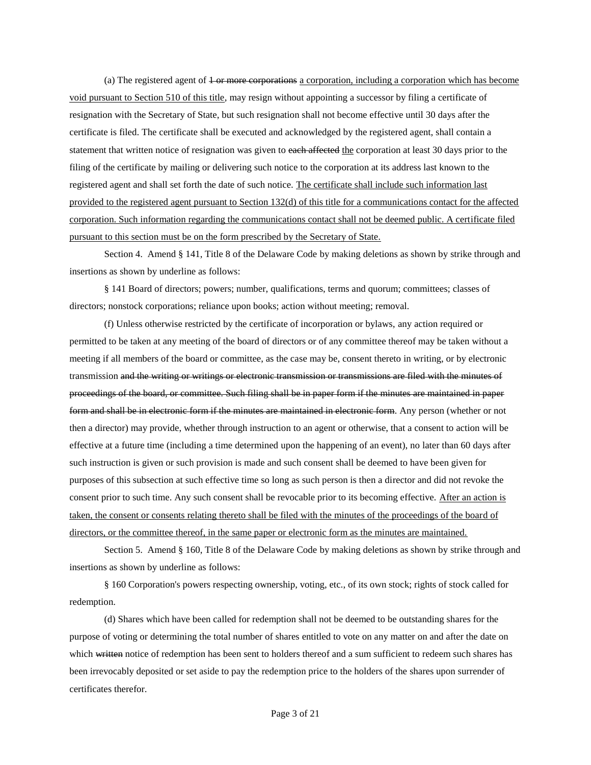(a) The registered agent of  $1$  or more corporations a corporation, including a corporation which has become void pursuant to Section 510 of this title, may resign without appointing a successor by filing a certificate of resignation with the Secretary of State, but such resignation shall not become effective until 30 days after the certificate is filed. The certificate shall be executed and acknowledged by the registered agent, shall contain a statement that written notice of resignation was given to each affected the corporation at least 30 days prior to the filing of the certificate by mailing or delivering such notice to the corporation at its address last known to the registered agent and shall set forth the date of such notice. The certificate shall include such information last provided to the registered agent pursuant to Section 132(d) of this title for a communications contact for the affected corporation. Such information regarding the communications contact shall not be deemed public. A certificate filed pursuant to this section must be on the form prescribed by the Secretary of State.

Section 4. Amend § 141, Title 8 of the Delaware Code by making deletions as shown by strike through and insertions as shown by underline as follows:

§ 141 Board of directors; powers; number, qualifications, terms and quorum; committees; classes of directors; nonstock corporations; reliance upon books; action without meeting; removal.

(f) Unless otherwise restricted by the certificate of incorporation or bylaws, any action required or permitted to be taken at any meeting of the board of directors or of any committee thereof may be taken without a meeting if all members of the board or committee, as the case may be, consent thereto in writing, or by electronic transmission and the writing or writings or electronic transmission or transmissions are filed with the minutes of proceedings of the board, or committee. Such filing shall be in paper form if the minutes are maintained in paper form and shall be in electronic form if the minutes are maintained in electronic form. Any person (whether or not then a director) may provide, whether through instruction to an agent or otherwise, that a consent to action will be effective at a future time (including a time determined upon the happening of an event), no later than 60 days after such instruction is given or such provision is made and such consent shall be deemed to have been given for purposes of this subsection at such effective time so long as such person is then a director and did not revoke the consent prior to such time. Any such consent shall be revocable prior to its becoming effective. After an action is taken, the consent or consents relating thereto shall be filed with the minutes of the proceedings of the board of directors, or the committee thereof, in the same paper or electronic form as the minutes are maintained.

Section 5. Amend § 160, Title 8 of the Delaware Code by making deletions as shown by strike through and insertions as shown by underline as follows:

§ 160 Corporation's powers respecting ownership, voting, etc., of its own stock; rights of stock called for redemption.

(d) Shares which have been called for redemption shall not be deemed to be outstanding shares for the purpose of voting or determining the total number of shares entitled to vote on any matter on and after the date on which written notice of redemption has been sent to holders thereof and a sum sufficient to redeem such shares has been irrevocably deposited or set aside to pay the redemption price to the holders of the shares upon surrender of certificates therefor.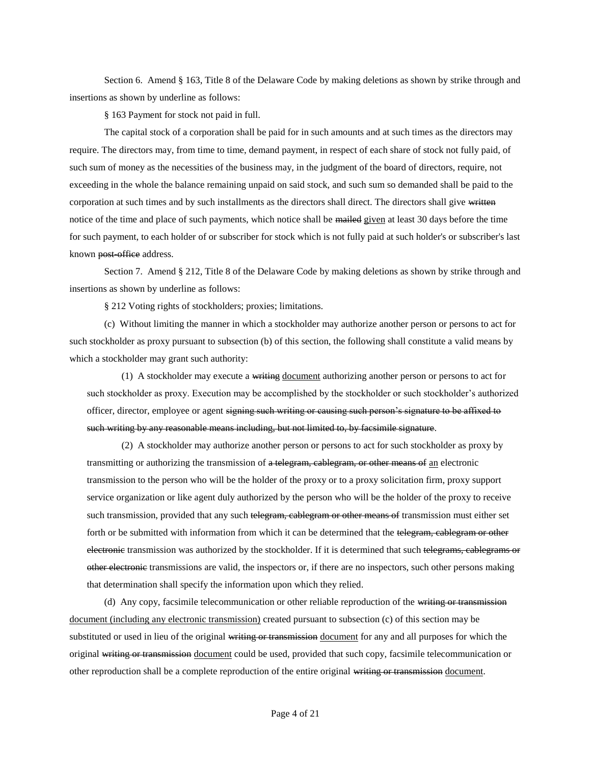Section 6. Amend § 163, Title 8 of the Delaware Code by making deletions as shown by strike through and insertions as shown by underline as follows:

§ 163 Payment for stock not paid in full.

The capital stock of a corporation shall be paid for in such amounts and at such times as the directors may require. The directors may, from time to time, demand payment, in respect of each share of stock not fully paid, of such sum of money as the necessities of the business may, in the judgment of the board of directors, require, not exceeding in the whole the balance remaining unpaid on said stock, and such sum so demanded shall be paid to the corporation at such times and by such installments as the directors shall direct. The directors shall give written notice of the time and place of such payments, which notice shall be mailed given at least 30 days before the time for such payment, to each holder of or subscriber for stock which is not fully paid at such holder's or subscriber's last known post-office address.

Section 7. Amend § 212, Title 8 of the Delaware Code by making deletions as shown by strike through and insertions as shown by underline as follows:

§ 212 Voting rights of stockholders; proxies; limitations.

(c) Without limiting the manner in which a stockholder may authorize another person or persons to act for such stockholder as proxy pursuant to subsection (b) of this section, the following shall constitute a valid means by which a stockholder may grant such authority:

(1) A stockholder may execute a writing document authorizing another person or persons to act for such stockholder as proxy. Execution may be accomplished by the stockholder or such stockholder's authorized officer, director, employee or agent signing such writing or causing such person's signature to be affixed to such writing by any reasonable means including, but not limited to, by facsimile signature.

(2) A stockholder may authorize another person or persons to act for such stockholder as proxy by transmitting or authorizing the transmission of a telegram, cablegram, or other means of an electronic transmission to the person who will be the holder of the proxy or to a proxy solicitation firm, proxy support service organization or like agent duly authorized by the person who will be the holder of the proxy to receive such transmission, provided that any such telegram, cablegram or other means of transmission must either set forth or be submitted with information from which it can be determined that the telegram, cablegram or other electronic transmission was authorized by the stockholder. If it is determined that such telegrams, cablegrams or other electronic transmissions are valid, the inspectors or, if there are no inspectors, such other persons making that determination shall specify the information upon which they relied.

(d) Any copy, facsimile telecommunication or other reliable reproduction of the writing or transmission document (including any electronic transmission) created pursuant to subsection (c) of this section may be substituted or used in lieu of the original writing or transmission document for any and all purposes for which the original writing or transmission document could be used, provided that such copy, facsimile telecommunication or other reproduction shall be a complete reproduction of the entire original writing or transmission document.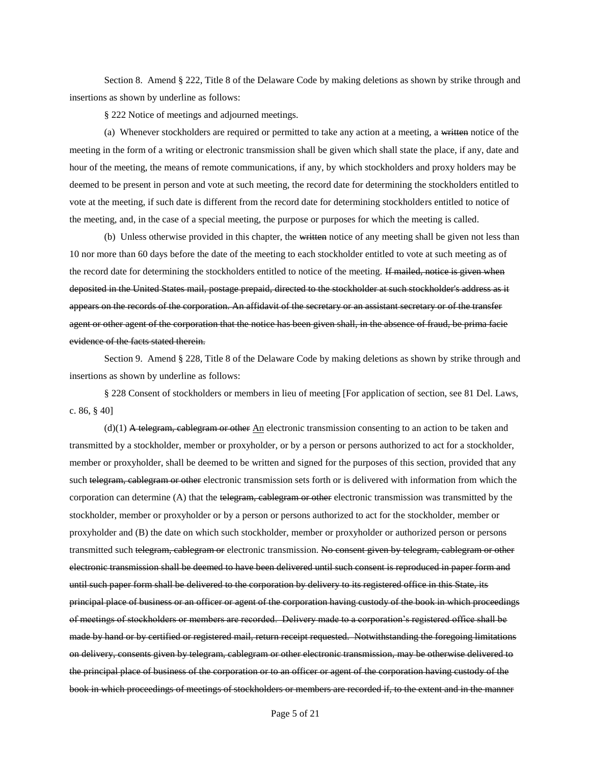Section 8. Amend § 222, Title 8 of the Delaware Code by making deletions as shown by strike through and insertions as shown by underline as follows:

§ 222 Notice of meetings and adjourned meetings.

(a) Whenever stockholders are required or permitted to take any action at a meeting, a written notice of the meeting in the form of a writing or electronic transmission shall be given which shall state the place, if any, date and hour of the meeting, the means of remote communications, if any, by which stockholders and proxy holders may be deemed to be present in person and vote at such meeting, the record date for determining the stockholders entitled to vote at the meeting, if such date is different from the record date for determining stockholders entitled to notice of the meeting, and, in the case of a special meeting, the purpose or purposes for which the meeting is called.

(b) Unless otherwise provided in this chapter, the written notice of any meeting shall be given not less than 10 nor more than 60 days before the date of the meeting to each stockholder entitled to vote at such meeting as of the record date for determining the stockholders entitled to notice of the meeting. If mailed, notice is given when deposited in the United States mail, postage prepaid, directed to the stockholder at such stockholder's address as it appears on the records of the corporation. An affidavit of the secretary or an assistant secretary or of the transfer agent or other agent of the corporation that the notice has been given shall, in the absence of fraud, be prima facie evidence of the facts stated therein.

Section 9. Amend § 228, Title 8 of the Delaware Code by making deletions as shown by strike through and insertions as shown by underline as follows:

§ 228 Consent of stockholders or members in lieu of meeting [For application of section, see 81 Del. Laws, c. 86, § 40]

 $(d)(1)$  A telegram, cablegram or other An electronic transmission consenting to an action to be taken and transmitted by a stockholder, member or proxyholder, or by a person or persons authorized to act for a stockholder, member or proxyholder, shall be deemed to be written and signed for the purposes of this section, provided that any such telegram, cablegram or other electronic transmission sets forth or is delivered with information from which the corporation can determine (A) that the telegram, cablegram or other electronic transmission was transmitted by the stockholder, member or proxyholder or by a person or persons authorized to act for the stockholder, member or proxyholder and (B) the date on which such stockholder, member or proxyholder or authorized person or persons transmitted such telegram, cablegram or electronic transmission. No consent given by telegram, cablegram or other electronic transmission shall be deemed to have been delivered until such consent is reproduced in paper form and until such paper form shall be delivered to the corporation by delivery to its registered office in this State, its principal place of business or an officer or agent of the corporation having custody of the book in which proceedings of meetings of stockholders or members are recorded. Delivery made to a corporation's registered office shall be made by hand or by certified or registered mail, return receipt requested. Notwithstanding the foregoing limitations on delivery, consents given by telegram, cablegram or other electronic transmission, may be otherwise delivered to the principal place of business of the corporation or to an officer or agent of the corporation having custody of the book in which proceedings of meetings of stockholders or members are recorded if, to the extent and in the manner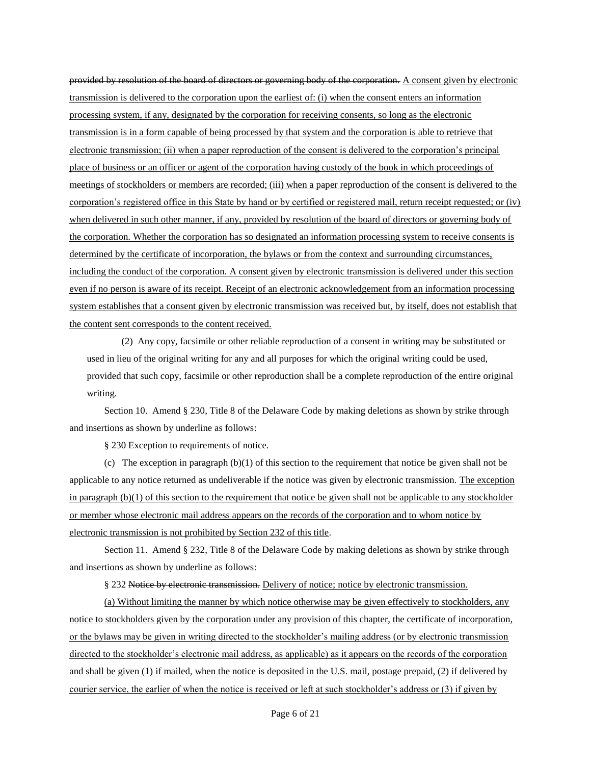provided by resolution of the board of directors or governing body of the corporation. A consent given by electronic transmission is delivered to the corporation upon the earliest of: (i) when the consent enters an information processing system, if any, designated by the corporation for receiving consents, so long as the electronic transmission is in a form capable of being processed by that system and the corporation is able to retrieve that electronic transmission; (ii) when a paper reproduction of the consent is delivered to the corporation's principal place of business or an officer or agent of the corporation having custody of the book in which proceedings of meetings of stockholders or members are recorded; (iii) when a paper reproduction of the consent is delivered to the corporation's registered office in this State by hand or by certified or registered mail, return receipt requested; or (iv) when delivered in such other manner, if any, provided by resolution of the board of directors or governing body of the corporation. Whether the corporation has so designated an information processing system to receive consents is determined by the certificate of incorporation, the bylaws or from the context and surrounding circumstances, including the conduct of the corporation. A consent given by electronic transmission is delivered under this section even if no person is aware of its receipt. Receipt of an electronic acknowledgement from an information processing system establishes that a consent given by electronic transmission was received but, by itself, does not establish that the content sent corresponds to the content received.

(2) Any copy, facsimile or other reliable reproduction of a consent in writing may be substituted or used in lieu of the original writing for any and all purposes for which the original writing could be used, provided that such copy, facsimile or other reproduction shall be a complete reproduction of the entire original writing.

Section 10. Amend § 230, Title 8 of the Delaware Code by making deletions as shown by strike through and insertions as shown by underline as follows:

§ 230 Exception to requirements of notice.

(c) The exception in paragraph (b)(1) of this section to the requirement that notice be given shall not be applicable to any notice returned as undeliverable if the notice was given by electronic transmission. The exception in paragraph  $(b)(1)$  of this section to the requirement that notice be given shall not be applicable to any stockholder or member whose electronic mail address appears on the records of the corporation and to whom notice by electronic transmission is not prohibited by Section 232 of this title.

Section 11. Amend § 232, Title 8 of the Delaware Code by making deletions as shown by strike through and insertions as shown by underline as follows:

§ 232 Notice by electronic transmission. Delivery of notice; notice by electronic transmission.

(a) Without limiting the manner by which notice otherwise may be given effectively to stockholders, any notice to stockholders given by the corporation under any provision of this chapter, the certificate of incorporation, or the bylaws may be given in writing directed to the stockholder's mailing address (or by electronic transmission directed to the stockholder's electronic mail address, as applicable) as it appears on the records of the corporation and shall be given (1) if mailed, when the notice is deposited in the U.S. mail, postage prepaid, (2) if delivered by courier service, the earlier of when the notice is received or left at such stockholder's address or (3) if given by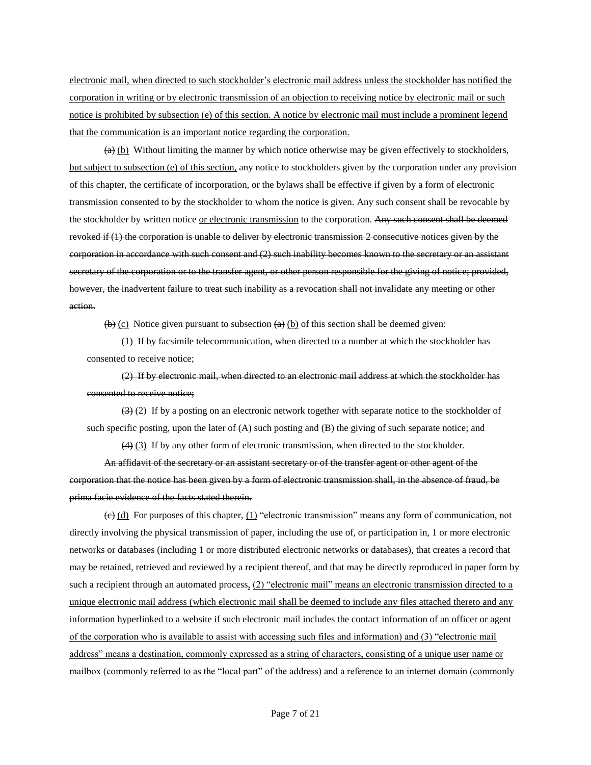electronic mail, when directed to such stockholder's electronic mail address unless the stockholder has notified the corporation in writing or by electronic transmission of an objection to receiving notice by electronic mail or such notice is prohibited by subsection (e) of this section. A notice by electronic mail must include a prominent legend that the communication is an important notice regarding the corporation.

 $(a)$  (b) Without limiting the manner by which notice otherwise may be given effectively to stockholders, but subject to subsection (e) of this section, any notice to stockholders given by the corporation under any provision of this chapter, the certificate of incorporation, or the bylaws shall be effective if given by a form of electronic transmission consented to by the stockholder to whom the notice is given. Any such consent shall be revocable by the stockholder by written notice or electronic transmission to the corporation. Any such consent shall be deemed revoked if (1) the corporation is unable to deliver by electronic transmission 2 consecutive notices given by the corporation in accordance with such consent and (2) such inability becomes known to the secretary or an assistant secretary of the corporation or to the transfer agent, or other person responsible for the giving of notice; provided, however, the inadvertent failure to treat such inability as a revocation shall not invalidate any meeting or other action.

(b) (c) Notice given pursuant to subsection  $(a)$  (b) of this section shall be deemed given:

(1) If by facsimile telecommunication, when directed to a number at which the stockholder has consented to receive notice;

(2) If by electronic mail, when directed to an electronic mail address at which the stockholder has consented to receive notice;

 $(3)$  (2) If by a posting on an electronic network together with separate notice to the stockholder of such specific posting, upon the later of (A) such posting and (B) the giving of such separate notice; and

(4) (3) If by any other form of electronic transmission, when directed to the stockholder.

An affidavit of the secretary or an assistant secretary or of the transfer agent or other agent of the corporation that the notice has been given by a form of electronic transmission shall, in the absence of fraud, be prima facie evidence of the facts stated therein.

 $\left(\frac{e}{c}\right)$  (d) For purposes of this chapter, (1) "electronic transmission" means any form of communication, not directly involving the physical transmission of paper, including the use of, or participation in, 1 or more electronic networks or databases (including 1 or more distributed electronic networks or databases), that creates a record that may be retained, retrieved and reviewed by a recipient thereof, and that may be directly reproduced in paper form by such a recipient through an automated process,  $(2)$  "electronic mail" means an electronic transmission directed to a unique electronic mail address (which electronic mail shall be deemed to include any files attached thereto and any information hyperlinked to a website if such electronic mail includes the contact information of an officer or agent of the corporation who is available to assist with accessing such files and information) and (3) "electronic mail address" means a destination, commonly expressed as a string of characters, consisting of a unique user name or mailbox (commonly referred to as the "local part" of the address) and a reference to an internet domain (commonly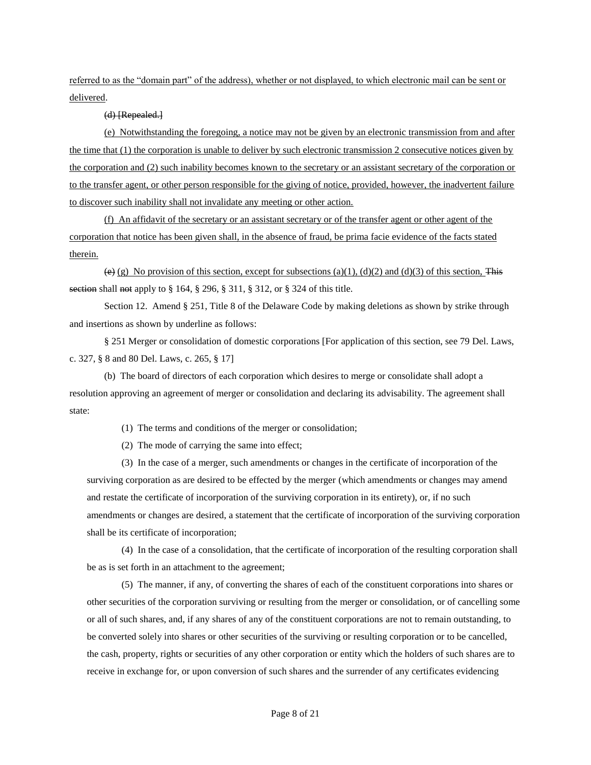referred to as the "domain part" of the address), whether or not displayed, to which electronic mail can be sent or delivered.

(d) [Repealed.]

(e) Notwithstanding the foregoing, a notice may not be given by an electronic transmission from and after the time that (1) the corporation is unable to deliver by such electronic transmission 2 consecutive notices given by the corporation and (2) such inability becomes known to the secretary or an assistant secretary of the corporation or to the transfer agent, or other person responsible for the giving of notice, provided, however, the inadvertent failure to discover such inability shall not invalidate any meeting or other action.

(f) An affidavit of the secretary or an assistant secretary or of the transfer agent or other agent of the corporation that notice has been given shall, in the absence of fraud, be prima facie evidence of the facts stated therein.

(e) (g) No provision of this section, except for subsections (a)(1), (d)(2) and (d)(3) of this section, This section shall not apply to § 164, § 296, § 311, § 312, or § 324 of this title.

Section 12. Amend § 251, Title 8 of the Delaware Code by making deletions as shown by strike through and insertions as shown by underline as follows:

§ 251 Merger or consolidation of domestic corporations [For application of this section, see 79 Del. Laws, c. 327, § 8 and 80 Del. Laws, c. 265, § 17]

(b) The board of directors of each corporation which desires to merge or consolidate shall adopt a resolution approving an agreement of merger or consolidation and declaring its advisability. The agreement shall state:

(1) The terms and conditions of the merger or consolidation;

(2) The mode of carrying the same into effect;

(3) In the case of a merger, such amendments or changes in the certificate of incorporation of the surviving corporation as are desired to be effected by the merger (which amendments or changes may amend and restate the certificate of incorporation of the surviving corporation in its entirety), or, if no such amendments or changes are desired, a statement that the certificate of incorporation of the surviving corporation shall be its certificate of incorporation;

(4) In the case of a consolidation, that the certificate of incorporation of the resulting corporation shall be as is set forth in an attachment to the agreement;

(5) The manner, if any, of converting the shares of each of the constituent corporations into shares or other securities of the corporation surviving or resulting from the merger or consolidation, or of cancelling some or all of such shares, and, if any shares of any of the constituent corporations are not to remain outstanding, to be converted solely into shares or other securities of the surviving or resulting corporation or to be cancelled, the cash, property, rights or securities of any other corporation or entity which the holders of such shares are to receive in exchange for, or upon conversion of such shares and the surrender of any certificates evidencing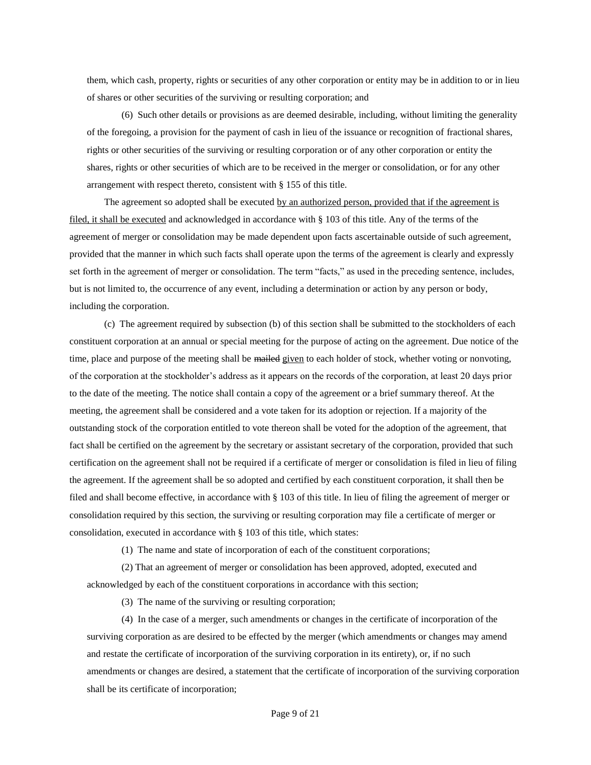them, which cash, property, rights or securities of any other corporation or entity may be in addition to or in lieu of shares or other securities of the surviving or resulting corporation; and

(6) Such other details or provisions as are deemed desirable, including, without limiting the generality of the foregoing, a provision for the payment of cash in lieu of the issuance or recognition of fractional shares, rights or other securities of the surviving or resulting corporation or of any other corporation or entity the shares, rights or other securities of which are to be received in the merger or consolidation, or for any other arrangement with respect thereto, consistent with § 155 of this title.

The agreement so adopted shall be executed by an authorized person, provided that if the agreement is filed, it shall be executed and acknowledged in accordance with § 103 of this title. Any of the terms of the agreement of merger or consolidation may be made dependent upon facts ascertainable outside of such agreement, provided that the manner in which such facts shall operate upon the terms of the agreement is clearly and expressly set forth in the agreement of merger or consolidation. The term "facts," as used in the preceding sentence, includes, but is not limited to, the occurrence of any event, including a determination or action by any person or body, including the corporation.

(c) The agreement required by subsection (b) of this section shall be submitted to the stockholders of each constituent corporation at an annual or special meeting for the purpose of acting on the agreement. Due notice of the time, place and purpose of the meeting shall be mailed given to each holder of stock, whether voting or nonvoting, of the corporation at the stockholder's address as it appears on the records of the corporation, at least 20 days prior to the date of the meeting. The notice shall contain a copy of the agreement or a brief summary thereof. At the meeting, the agreement shall be considered and a vote taken for its adoption or rejection. If a majority of the outstanding stock of the corporation entitled to vote thereon shall be voted for the adoption of the agreement, that fact shall be certified on the agreement by the secretary or assistant secretary of the corporation, provided that such certification on the agreement shall not be required if a certificate of merger or consolidation is filed in lieu of filing the agreement. If the agreement shall be so adopted and certified by each constituent corporation, it shall then be filed and shall become effective, in accordance with § 103 of this title. In lieu of filing the agreement of merger or consolidation required by this section, the surviving or resulting corporation may file a certificate of merger or consolidation, executed in accordance with § 103 of this title, which states:

(1) The name and state of incorporation of each of the constituent corporations;

(2) That an agreement of merger or consolidation has been approved, adopted, executed and acknowledged by each of the constituent corporations in accordance with this section;

(3) The name of the surviving or resulting corporation;

(4) In the case of a merger, such amendments or changes in the certificate of incorporation of the surviving corporation as are desired to be effected by the merger (which amendments or changes may amend and restate the certificate of incorporation of the surviving corporation in its entirety), or, if no such amendments or changes are desired, a statement that the certificate of incorporation of the surviving corporation shall be its certificate of incorporation;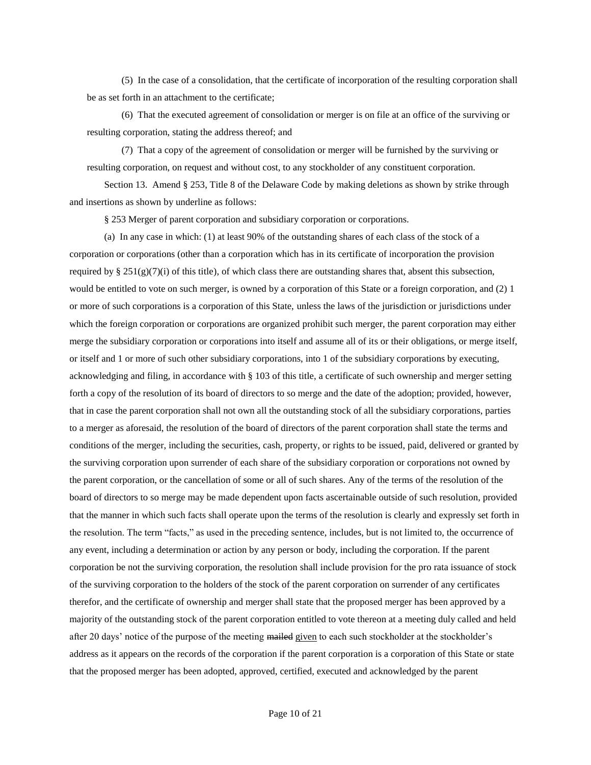(5) In the case of a consolidation, that the certificate of incorporation of the resulting corporation shall be as set forth in an attachment to the certificate;

(6) That the executed agreement of consolidation or merger is on file at an office of the surviving or resulting corporation, stating the address thereof; and

(7) That a copy of the agreement of consolidation or merger will be furnished by the surviving or resulting corporation, on request and without cost, to any stockholder of any constituent corporation.

Section 13. Amend § 253, Title 8 of the Delaware Code by making deletions as shown by strike through and insertions as shown by underline as follows:

§ 253 Merger of parent corporation and subsidiary corporation or corporations.

(a) In any case in which: (1) at least 90% of the outstanding shares of each class of the stock of a corporation or corporations (other than a corporation which has in its certificate of incorporation the provision required by  $\S 251(g)(7)(i)$  of this title), of which class there are outstanding shares that, absent this subsection, would be entitled to vote on such merger, is owned by a corporation of this State or a foreign corporation, and (2) 1 or more of such corporations is a corporation of this State, unless the laws of the jurisdiction or jurisdictions under which the foreign corporation or corporations are organized prohibit such merger, the parent corporation may either merge the subsidiary corporation or corporations into itself and assume all of its or their obligations, or merge itself, or itself and 1 or more of such other subsidiary corporations, into 1 of the subsidiary corporations by executing, acknowledging and filing, in accordance with § 103 of this title, a certificate of such ownership and merger setting forth a copy of the resolution of its board of directors to so merge and the date of the adoption; provided, however, that in case the parent corporation shall not own all the outstanding stock of all the subsidiary corporations, parties to a merger as aforesaid, the resolution of the board of directors of the parent corporation shall state the terms and conditions of the merger, including the securities, cash, property, or rights to be issued, paid, delivered or granted by the surviving corporation upon surrender of each share of the subsidiary corporation or corporations not owned by the parent corporation, or the cancellation of some or all of such shares. Any of the terms of the resolution of the board of directors to so merge may be made dependent upon facts ascertainable outside of such resolution, provided that the manner in which such facts shall operate upon the terms of the resolution is clearly and expressly set forth in the resolution. The term "facts," as used in the preceding sentence, includes, but is not limited to, the occurrence of any event, including a determination or action by any person or body, including the corporation. If the parent corporation be not the surviving corporation, the resolution shall include provision for the pro rata issuance of stock of the surviving corporation to the holders of the stock of the parent corporation on surrender of any certificates therefor, and the certificate of ownership and merger shall state that the proposed merger has been approved by a majority of the outstanding stock of the parent corporation entitled to vote thereon at a meeting duly called and held after 20 days' notice of the purpose of the meeting mailed given to each such stockholder at the stockholder's address as it appears on the records of the corporation if the parent corporation is a corporation of this State or state that the proposed merger has been adopted, approved, certified, executed and acknowledged by the parent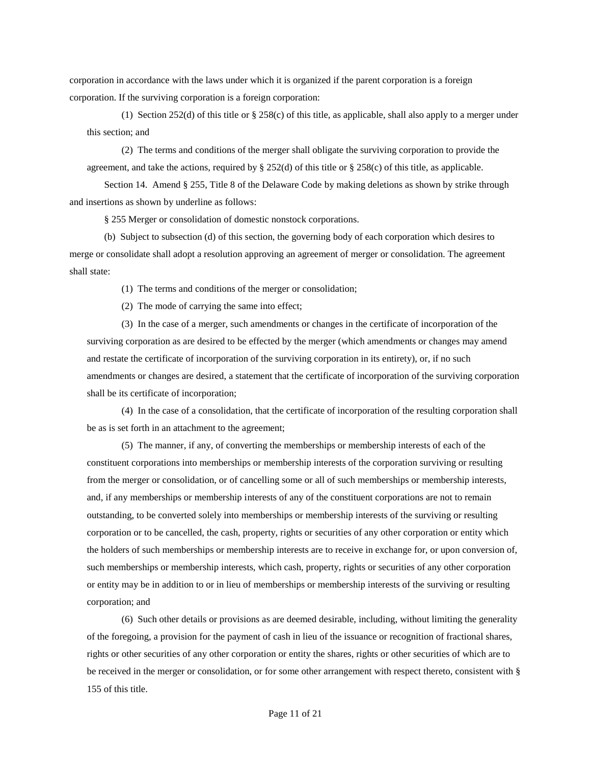corporation in accordance with the laws under which it is organized if the parent corporation is a foreign corporation. If the surviving corporation is a foreign corporation:

(1) Section 252(d) of this title or § 258(c) of this title, as applicable, shall also apply to a merger under this section; and

(2) The terms and conditions of the merger shall obligate the surviving corporation to provide the agreement, and take the actions, required by  $\S 252(d)$  of this title or  $\S 258(c)$  of this title, as applicable.

Section 14. Amend § 255, Title 8 of the Delaware Code by making deletions as shown by strike through and insertions as shown by underline as follows:

§ 255 Merger or consolidation of domestic nonstock corporations.

(b) Subject to subsection (d) of this section, the governing body of each corporation which desires to merge or consolidate shall adopt a resolution approving an agreement of merger or consolidation. The agreement shall state:

(1) The terms and conditions of the merger or consolidation;

(2) The mode of carrying the same into effect;

(3) In the case of a merger, such amendments or changes in the certificate of incorporation of the surviving corporation as are desired to be effected by the merger (which amendments or changes may amend and restate the certificate of incorporation of the surviving corporation in its entirety), or, if no such amendments or changes are desired, a statement that the certificate of incorporation of the surviving corporation shall be its certificate of incorporation;

(4) In the case of a consolidation, that the certificate of incorporation of the resulting corporation shall be as is set forth in an attachment to the agreement;

(5) The manner, if any, of converting the memberships or membership interests of each of the constituent corporations into memberships or membership interests of the corporation surviving or resulting from the merger or consolidation, or of cancelling some or all of such memberships or membership interests, and, if any memberships or membership interests of any of the constituent corporations are not to remain outstanding, to be converted solely into memberships or membership interests of the surviving or resulting corporation or to be cancelled, the cash, property, rights or securities of any other corporation or entity which the holders of such memberships or membership interests are to receive in exchange for, or upon conversion of, such memberships or membership interests, which cash, property, rights or securities of any other corporation or entity may be in addition to or in lieu of memberships or membership interests of the surviving or resulting corporation; and

(6) Such other details or provisions as are deemed desirable, including, without limiting the generality of the foregoing, a provision for the payment of cash in lieu of the issuance or recognition of fractional shares, rights or other securities of any other corporation or entity the shares, rights or other securities of which are to be received in the merger or consolidation, or for some other arrangement with respect thereto, consistent with § 155 of this title.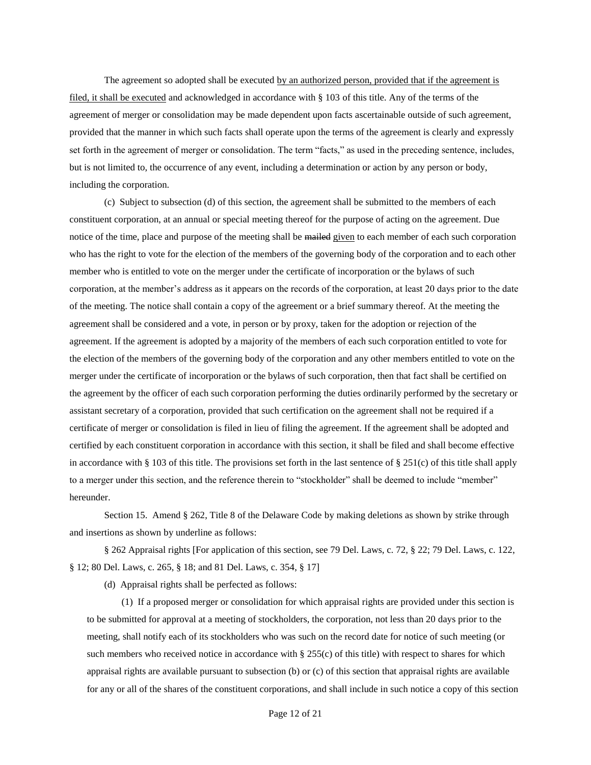The agreement so adopted shall be executed by an authorized person, provided that if the agreement is filed, it shall be executed and acknowledged in accordance with § 103 of this title. Any of the terms of the agreement of merger or consolidation may be made dependent upon facts ascertainable outside of such agreement, provided that the manner in which such facts shall operate upon the terms of the agreement is clearly and expressly set forth in the agreement of merger or consolidation. The term "facts," as used in the preceding sentence, includes, but is not limited to, the occurrence of any event, including a determination or action by any person or body, including the corporation.

(c) Subject to subsection (d) of this section, the agreement shall be submitted to the members of each constituent corporation, at an annual or special meeting thereof for the purpose of acting on the agreement. Due notice of the time, place and purpose of the meeting shall be mailed given to each member of each such corporation who has the right to vote for the election of the members of the governing body of the corporation and to each other member who is entitled to vote on the merger under the certificate of incorporation or the bylaws of such corporation, at the member's address as it appears on the records of the corporation, at least 20 days prior to the date of the meeting. The notice shall contain a copy of the agreement or a brief summary thereof. At the meeting the agreement shall be considered and a vote, in person or by proxy, taken for the adoption or rejection of the agreement. If the agreement is adopted by a majority of the members of each such corporation entitled to vote for the election of the members of the governing body of the corporation and any other members entitled to vote on the merger under the certificate of incorporation or the bylaws of such corporation, then that fact shall be certified on the agreement by the officer of each such corporation performing the duties ordinarily performed by the secretary or assistant secretary of a corporation, provided that such certification on the agreement shall not be required if a certificate of merger or consolidation is filed in lieu of filing the agreement. If the agreement shall be adopted and certified by each constituent corporation in accordance with this section, it shall be filed and shall become effective in accordance with § 103 of this title. The provisions set forth in the last sentence of § 251(c) of this title shall apply to a merger under this section, and the reference therein to "stockholder" shall be deemed to include "member" hereunder.

Section 15. Amend § 262, Title 8 of the Delaware Code by making deletions as shown by strike through and insertions as shown by underline as follows:

§ 262 Appraisal rights [For application of this section, see 79 Del. Laws, c. 72, § 22; 79 Del. Laws, c. 122, § 12; 80 Del. Laws, c. 265, § 18; and 81 Del. Laws, c. 354, § 17]

(d) Appraisal rights shall be perfected as follows:

(1) If a proposed merger or consolidation for which appraisal rights are provided under this section is to be submitted for approval at a meeting of stockholders, the corporation, not less than 20 days prior to the meeting, shall notify each of its stockholders who was such on the record date for notice of such meeting (or such members who received notice in accordance with  $\S 255(c)$  of this title) with respect to shares for which appraisal rights are available pursuant to subsection (b) or (c) of this section that appraisal rights are available for any or all of the shares of the constituent corporations, and shall include in such notice a copy of this section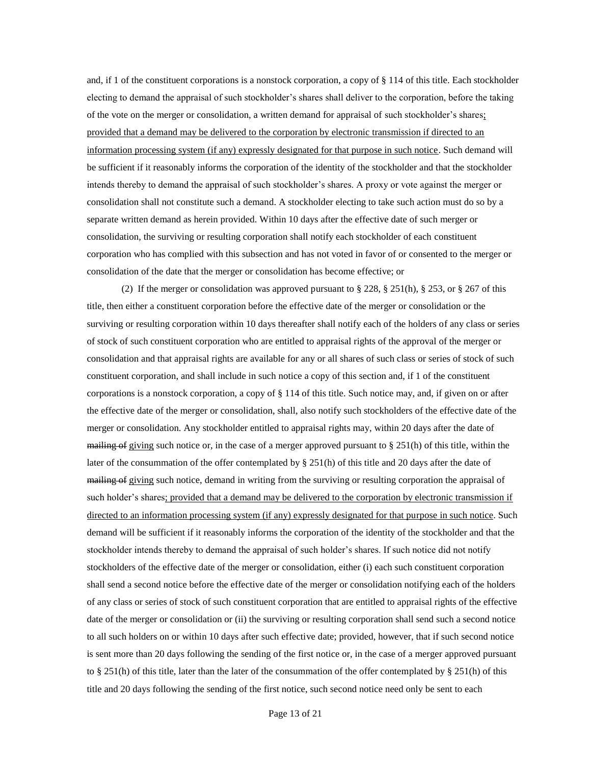and, if 1 of the constituent corporations is a nonstock corporation, a copy of § 114 of this title. Each stockholder electing to demand the appraisal of such stockholder's shares shall deliver to the corporation, before the taking of the vote on the merger or consolidation, a written demand for appraisal of such stockholder's shares; provided that a demand may be delivered to the corporation by electronic transmission if directed to an information processing system (if any) expressly designated for that purpose in such notice. Such demand will be sufficient if it reasonably informs the corporation of the identity of the stockholder and that the stockholder intends thereby to demand the appraisal of such stockholder's shares. A proxy or vote against the merger or consolidation shall not constitute such a demand. A stockholder electing to take such action must do so by a separate written demand as herein provided. Within 10 days after the effective date of such merger or consolidation, the surviving or resulting corporation shall notify each stockholder of each constituent corporation who has complied with this subsection and has not voted in favor of or consented to the merger or consolidation of the date that the merger or consolidation has become effective; or

(2) If the merger or consolidation was approved pursuant to  $\S 228$ ,  $\S 251(h)$ ,  $\S 253$ , or  $\S 267$  of this title, then either a constituent corporation before the effective date of the merger or consolidation or the surviving or resulting corporation within 10 days thereafter shall notify each of the holders of any class or series of stock of such constituent corporation who are entitled to appraisal rights of the approval of the merger or consolidation and that appraisal rights are available for any or all shares of such class or series of stock of such constituent corporation, and shall include in such notice a copy of this section and, if 1 of the constituent corporations is a nonstock corporation, a copy of § 114 of this title. Such notice may, and, if given on or after the effective date of the merger or consolidation, shall, also notify such stockholders of the effective date of the merger or consolidation. Any stockholder entitled to appraisal rights may, within 20 days after the date of mailing of giving such notice or, in the case of a merger approved pursuant to  $\S 251(h)$  of this title, within the later of the consummation of the offer contemplated by § 251(h) of this title and 20 days after the date of mailing of giving such notice, demand in writing from the surviving or resulting corporation the appraisal of such holder's shares; provided that a demand may be delivered to the corporation by electronic transmission if directed to an information processing system (if any) expressly designated for that purpose in such notice. Such demand will be sufficient if it reasonably informs the corporation of the identity of the stockholder and that the stockholder intends thereby to demand the appraisal of such holder's shares. If such notice did not notify stockholders of the effective date of the merger or consolidation, either (i) each such constituent corporation shall send a second notice before the effective date of the merger or consolidation notifying each of the holders of any class or series of stock of such constituent corporation that are entitled to appraisal rights of the effective date of the merger or consolidation or (ii) the surviving or resulting corporation shall send such a second notice to all such holders on or within 10 days after such effective date; provided, however, that if such second notice is sent more than 20 days following the sending of the first notice or, in the case of a merger approved pursuant to § 251(h) of this title, later than the later of the consummation of the offer contemplated by § 251(h) of this title and 20 days following the sending of the first notice, such second notice need only be sent to each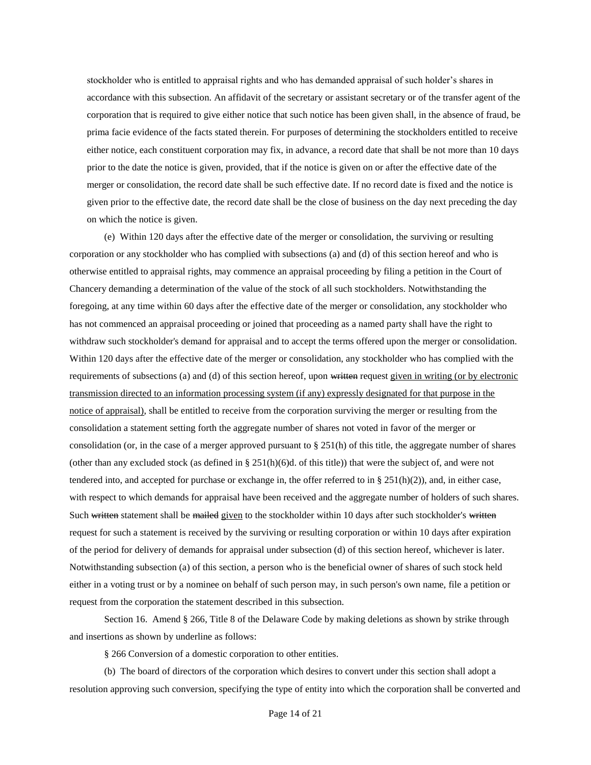stockholder who is entitled to appraisal rights and who has demanded appraisal of such holder's shares in accordance with this subsection. An affidavit of the secretary or assistant secretary or of the transfer agent of the corporation that is required to give either notice that such notice has been given shall, in the absence of fraud, be prima facie evidence of the facts stated therein. For purposes of determining the stockholders entitled to receive either notice, each constituent corporation may fix, in advance, a record date that shall be not more than 10 days prior to the date the notice is given, provided, that if the notice is given on or after the effective date of the merger or consolidation, the record date shall be such effective date. If no record date is fixed and the notice is given prior to the effective date, the record date shall be the close of business on the day next preceding the day on which the notice is given.

(e) Within 120 days after the effective date of the merger or consolidation, the surviving or resulting corporation or any stockholder who has complied with subsections (a) and (d) of this section hereof and who is otherwise entitled to appraisal rights, may commence an appraisal proceeding by filing a petition in the Court of Chancery demanding a determination of the value of the stock of all such stockholders. Notwithstanding the foregoing, at any time within 60 days after the effective date of the merger or consolidation, any stockholder who has not commenced an appraisal proceeding or joined that proceeding as a named party shall have the right to withdraw such stockholder's demand for appraisal and to accept the terms offered upon the merger or consolidation. Within 120 days after the effective date of the merger or consolidation, any stockholder who has complied with the requirements of subsections (a) and (d) of this section hereof, upon written request given in writing (or by electronic transmission directed to an information processing system (if any) expressly designated for that purpose in the notice of appraisal), shall be entitled to receive from the corporation surviving the merger or resulting from the consolidation a statement setting forth the aggregate number of shares not voted in favor of the merger or consolidation (or, in the case of a merger approved pursuant to  $\S 251(h)$  of this title, the aggregate number of shares (other than any excluded stock (as defined in § 251(h)(6)d. of this title)) that were the subject of, and were not tendered into, and accepted for purchase or exchange in, the offer referred to in § 251(h)(2)), and, in either case, with respect to which demands for appraisal have been received and the aggregate number of holders of such shares. Such written statement shall be mailed given to the stockholder within 10 days after such stockholder's written request for such a statement is received by the surviving or resulting corporation or within 10 days after expiration of the period for delivery of demands for appraisal under subsection (d) of this section hereof, whichever is later. Notwithstanding subsection (a) of this section, a person who is the beneficial owner of shares of such stock held either in a voting trust or by a nominee on behalf of such person may, in such person's own name, file a petition or request from the corporation the statement described in this subsection.

Section 16. Amend § 266, Title 8 of the Delaware Code by making deletions as shown by strike through and insertions as shown by underline as follows:

§ 266 Conversion of a domestic corporation to other entities.

(b) The board of directors of the corporation which desires to convert under this section shall adopt a resolution approving such conversion, specifying the type of entity into which the corporation shall be converted and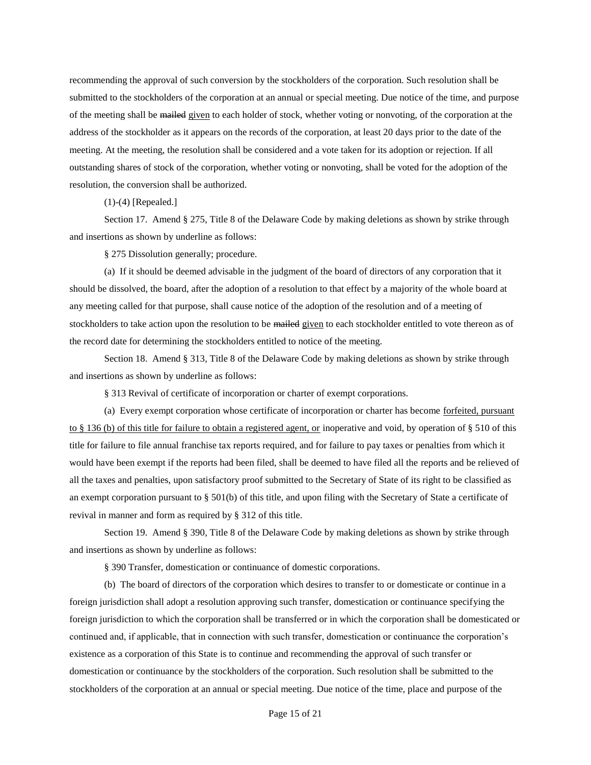recommending the approval of such conversion by the stockholders of the corporation. Such resolution shall be submitted to the stockholders of the corporation at an annual or special meeting. Due notice of the time, and purpose of the meeting shall be mailed given to each holder of stock, whether voting or nonvoting, of the corporation at the address of the stockholder as it appears on the records of the corporation, at least 20 days prior to the date of the meeting. At the meeting, the resolution shall be considered and a vote taken for its adoption or rejection. If all outstanding shares of stock of the corporation, whether voting or nonvoting, shall be voted for the adoption of the resolution, the conversion shall be authorized.

(1)-(4) [Repealed.]

Section 17. Amend § 275, Title 8 of the Delaware Code by making deletions as shown by strike through and insertions as shown by underline as follows:

§ 275 Dissolution generally; procedure.

(a) If it should be deemed advisable in the judgment of the board of directors of any corporation that it should be dissolved, the board, after the adoption of a resolution to that effect by a majority of the whole board at any meeting called for that purpose, shall cause notice of the adoption of the resolution and of a meeting of stockholders to take action upon the resolution to be mailed given to each stockholder entitled to vote thereon as of the record date for determining the stockholders entitled to notice of the meeting.

Section 18. Amend § 313, Title 8 of the Delaware Code by making deletions as shown by strike through and insertions as shown by underline as follows:

§ 313 Revival of certificate of incorporation or charter of exempt corporations.

(a) Every exempt corporation whose certificate of incorporation or charter has become forfeited, pursuant to § 136 (b) of this title for failure to obtain a registered agent, or inoperative and void, by operation of § 510 of this title for failure to file annual franchise tax reports required, and for failure to pay taxes or penalties from which it would have been exempt if the reports had been filed, shall be deemed to have filed all the reports and be relieved of all the taxes and penalties, upon satisfactory proof submitted to the Secretary of State of its right to be classified as an exempt corporation pursuant to  $\S 501(b)$  of this title, and upon filing with the Secretary of State a certificate of revival in manner and form as required by § 312 of this title.

Section 19. Amend § 390, Title 8 of the Delaware Code by making deletions as shown by strike through and insertions as shown by underline as follows:

§ 390 Transfer, domestication or continuance of domestic corporations.

(b) The board of directors of the corporation which desires to transfer to or domesticate or continue in a foreign jurisdiction shall adopt a resolution approving such transfer, domestication or continuance specifying the foreign jurisdiction to which the corporation shall be transferred or in which the corporation shall be domesticated or continued and, if applicable, that in connection with such transfer, domestication or continuance the corporation's existence as a corporation of this State is to continue and recommending the approval of such transfer or domestication or continuance by the stockholders of the corporation. Such resolution shall be submitted to the stockholders of the corporation at an annual or special meeting. Due notice of the time, place and purpose of the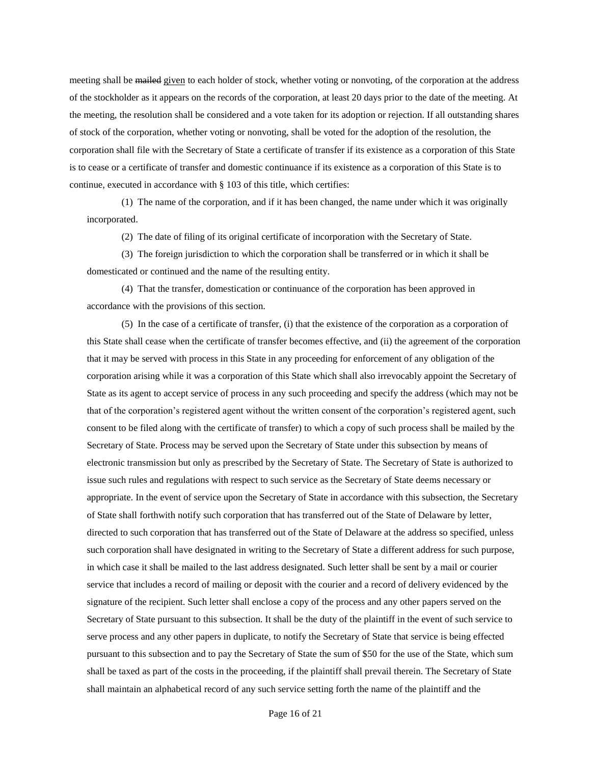meeting shall be mailed given to each holder of stock, whether voting or nonvoting, of the corporation at the address of the stockholder as it appears on the records of the corporation, at least 20 days prior to the date of the meeting. At the meeting, the resolution shall be considered and a vote taken for its adoption or rejection. If all outstanding shares of stock of the corporation, whether voting or nonvoting, shall be voted for the adoption of the resolution, the corporation shall file with the Secretary of State a certificate of transfer if its existence as a corporation of this State is to cease or a certificate of transfer and domestic continuance if its existence as a corporation of this State is to continue, executed in accordance with § 103 of this title, which certifies:

(1) The name of the corporation, and if it has been changed, the name under which it was originally incorporated.

(2) The date of filing of its original certificate of incorporation with the Secretary of State.

(3) The foreign jurisdiction to which the corporation shall be transferred or in which it shall be domesticated or continued and the name of the resulting entity.

(4) That the transfer, domestication or continuance of the corporation has been approved in accordance with the provisions of this section.

(5) In the case of a certificate of transfer, (i) that the existence of the corporation as a corporation of this State shall cease when the certificate of transfer becomes effective, and (ii) the agreement of the corporation that it may be served with process in this State in any proceeding for enforcement of any obligation of the corporation arising while it was a corporation of this State which shall also irrevocably appoint the Secretary of State as its agent to accept service of process in any such proceeding and specify the address (which may not be that of the corporation's registered agent without the written consent of the corporation's registered agent, such consent to be filed along with the certificate of transfer) to which a copy of such process shall be mailed by the Secretary of State. Process may be served upon the Secretary of State under this subsection by means of electronic transmission but only as prescribed by the Secretary of State. The Secretary of State is authorized to issue such rules and regulations with respect to such service as the Secretary of State deems necessary or appropriate. In the event of service upon the Secretary of State in accordance with this subsection, the Secretary of State shall forthwith notify such corporation that has transferred out of the State of Delaware by letter, directed to such corporation that has transferred out of the State of Delaware at the address so specified, unless such corporation shall have designated in writing to the Secretary of State a different address for such purpose, in which case it shall be mailed to the last address designated. Such letter shall be sent by a mail or courier service that includes a record of mailing or deposit with the courier and a record of delivery evidenced by the signature of the recipient. Such letter shall enclose a copy of the process and any other papers served on the Secretary of State pursuant to this subsection. It shall be the duty of the plaintiff in the event of such service to serve process and any other papers in duplicate, to notify the Secretary of State that service is being effected pursuant to this subsection and to pay the Secretary of State the sum of \$50 for the use of the State, which sum shall be taxed as part of the costs in the proceeding, if the plaintiff shall prevail therein. The Secretary of State shall maintain an alphabetical record of any such service setting forth the name of the plaintiff and the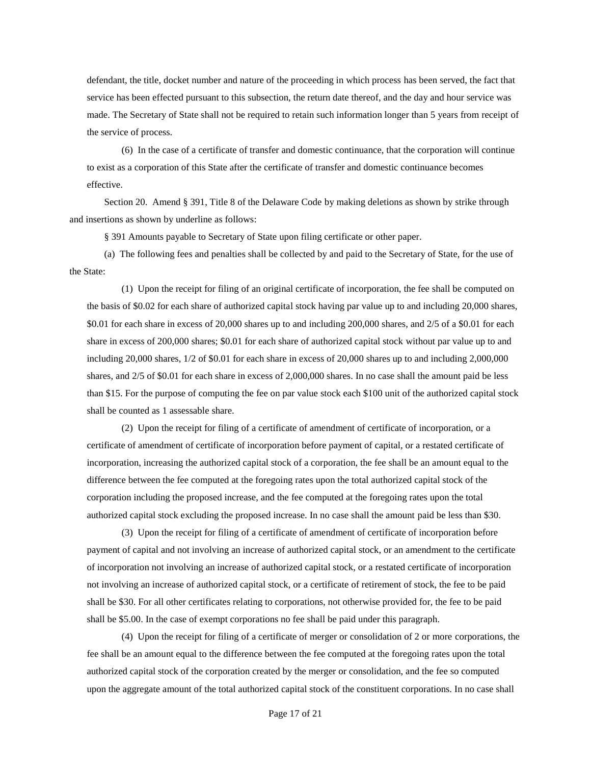defendant, the title, docket number and nature of the proceeding in which process has been served, the fact that service has been effected pursuant to this subsection, the return date thereof, and the day and hour service was made. The Secretary of State shall not be required to retain such information longer than 5 years from receipt of the service of process.

(6) In the case of a certificate of transfer and domestic continuance, that the corporation will continue to exist as a corporation of this State after the certificate of transfer and domestic continuance becomes effective.

Section 20. Amend § 391, Title 8 of the Delaware Code by making deletions as shown by strike through and insertions as shown by underline as follows:

§ 391 Amounts payable to Secretary of State upon filing certificate or other paper.

(a) The following fees and penalties shall be collected by and paid to the Secretary of State, for the use of the State:

(1) Upon the receipt for filing of an original certificate of incorporation, the fee shall be computed on the basis of \$0.02 for each share of authorized capital stock having par value up to and including 20,000 shares, \$0.01 for each share in excess of 20,000 shares up to and including 200,000 shares, and 2/5 of a \$0.01 for each share in excess of 200,000 shares; \$0.01 for each share of authorized capital stock without par value up to and including 20,000 shares, 1/2 of \$0.01 for each share in excess of 20,000 shares up to and including 2,000,000 shares, and 2/5 of \$0.01 for each share in excess of 2,000,000 shares. In no case shall the amount paid be less than \$15. For the purpose of computing the fee on par value stock each \$100 unit of the authorized capital stock shall be counted as 1 assessable share.

(2) Upon the receipt for filing of a certificate of amendment of certificate of incorporation, or a certificate of amendment of certificate of incorporation before payment of capital, or a restated certificate of incorporation, increasing the authorized capital stock of a corporation, the fee shall be an amount equal to the difference between the fee computed at the foregoing rates upon the total authorized capital stock of the corporation including the proposed increase, and the fee computed at the foregoing rates upon the total authorized capital stock excluding the proposed increase. In no case shall the amount paid be less than \$30.

(3) Upon the receipt for filing of a certificate of amendment of certificate of incorporation before payment of capital and not involving an increase of authorized capital stock, or an amendment to the certificate of incorporation not involving an increase of authorized capital stock, or a restated certificate of incorporation not involving an increase of authorized capital stock, or a certificate of retirement of stock, the fee to be paid shall be \$30. For all other certificates relating to corporations, not otherwise provided for, the fee to be paid shall be \$5.00. In the case of exempt corporations no fee shall be paid under this paragraph.

(4) Upon the receipt for filing of a certificate of merger or consolidation of 2 or more corporations, the fee shall be an amount equal to the difference between the fee computed at the foregoing rates upon the total authorized capital stock of the corporation created by the merger or consolidation, and the fee so computed upon the aggregate amount of the total authorized capital stock of the constituent corporations. In no case shall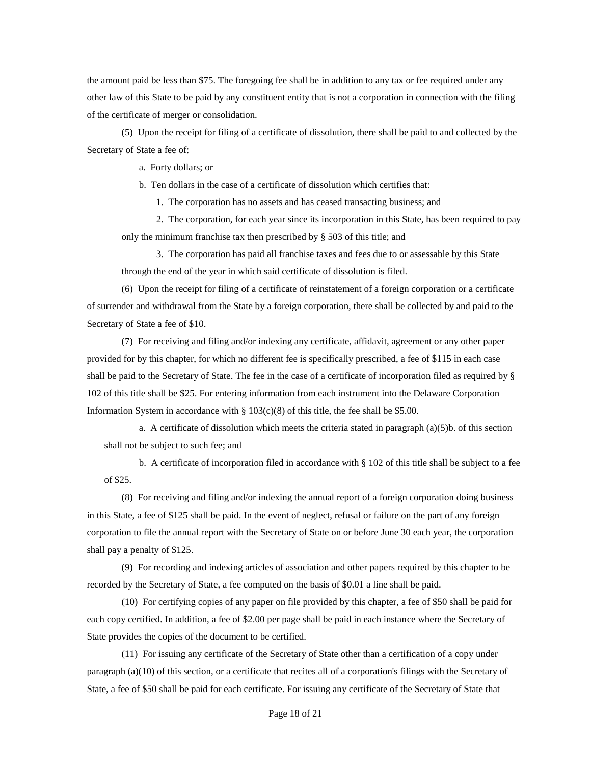the amount paid be less than \$75. The foregoing fee shall be in addition to any tax or fee required under any other law of this State to be paid by any constituent entity that is not a corporation in connection with the filing of the certificate of merger or consolidation.

(5) Upon the receipt for filing of a certificate of dissolution, there shall be paid to and collected by the Secretary of State a fee of:

a. Forty dollars; or

b. Ten dollars in the case of a certificate of dissolution which certifies that:

1. The corporation has no assets and has ceased transacting business; and

2. The corporation, for each year since its incorporation in this State, has been required to pay only the minimum franchise tax then prescribed by § 503 of this title; and

3. The corporation has paid all franchise taxes and fees due to or assessable by this State through the end of the year in which said certificate of dissolution is filed.

(6) Upon the receipt for filing of a certificate of reinstatement of a foreign corporation or a certificate of surrender and withdrawal from the State by a foreign corporation, there shall be collected by and paid to the Secretary of State a fee of \$10.

(7) For receiving and filing and/or indexing any certificate, affidavit, agreement or any other paper provided for by this chapter, for which no different fee is specifically prescribed, a fee of \$115 in each case shall be paid to the Secretary of State. The fee in the case of a certificate of incorporation filed as required by § 102 of this title shall be \$25. For entering information from each instrument into the Delaware Corporation Information System in accordance with  $\S 103(c)(8)$  of this title, the fee shall be \$5.00.

a. A certificate of dissolution which meets the criteria stated in paragraph (a)(5)b. of this section shall not be subject to such fee; and

b. A certificate of incorporation filed in accordance with § 102 of this title shall be subject to a fee of \$25.

(8) For receiving and filing and/or indexing the annual report of a foreign corporation doing business in this State, a fee of \$125 shall be paid. In the event of neglect, refusal or failure on the part of any foreign corporation to file the annual report with the Secretary of State on or before June 30 each year, the corporation shall pay a penalty of \$125.

(9) For recording and indexing articles of association and other papers required by this chapter to be recorded by the Secretary of State, a fee computed on the basis of \$0.01 a line shall be paid.

(10) For certifying copies of any paper on file provided by this chapter, a fee of \$50 shall be paid for each copy certified. In addition, a fee of \$2.00 per page shall be paid in each instance where the Secretary of State provides the copies of the document to be certified.

(11) For issuing any certificate of the Secretary of State other than a certification of a copy under paragraph (a)(10) of this section, or a certificate that recites all of a corporation's filings with the Secretary of State, a fee of \$50 shall be paid for each certificate. For issuing any certificate of the Secretary of State that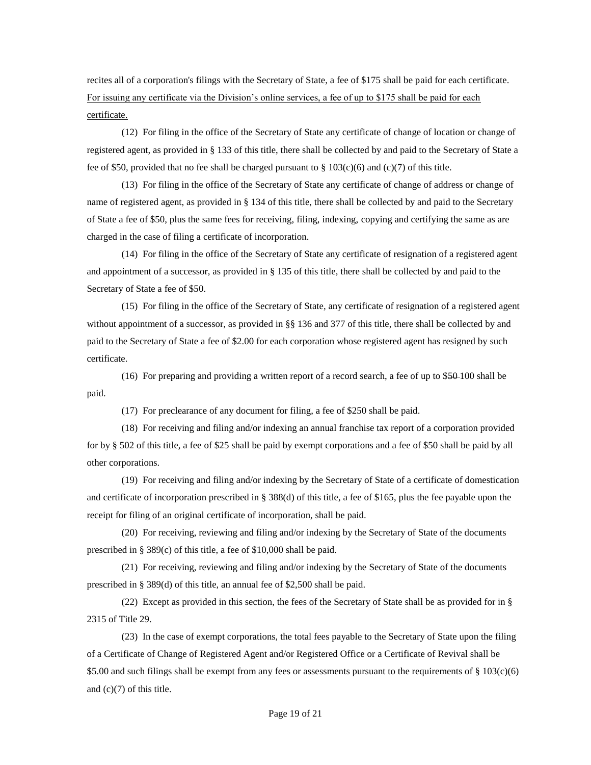recites all of a corporation's filings with the Secretary of State, a fee of \$175 shall be paid for each certificate. For issuing any certificate via the Division's online services, a fee of up to \$175 shall be paid for each certificate.

(12) For filing in the office of the Secretary of State any certificate of change of location or change of registered agent, as provided in § 133 of this title, there shall be collected by and paid to the Secretary of State a fee of \$50, provided that no fee shall be charged pursuant to  $\S 103(c)(6)$  and (c)(7) of this title.

(13) For filing in the office of the Secretary of State any certificate of change of address or change of name of registered agent, as provided in § 134 of this title, there shall be collected by and paid to the Secretary of State a fee of \$50, plus the same fees for receiving, filing, indexing, copying and certifying the same as are charged in the case of filing a certificate of incorporation.

(14) For filing in the office of the Secretary of State any certificate of resignation of a registered agent and appointment of a successor, as provided in § 135 of this title, there shall be collected by and paid to the Secretary of State a fee of \$50.

(15) For filing in the office of the Secretary of State, any certificate of resignation of a registered agent without appointment of a successor, as provided in §§ 136 and 377 of this title, there shall be collected by and paid to the Secretary of State a fee of \$2.00 for each corporation whose registered agent has resigned by such certificate.

(16) For preparing and providing a written report of a record search, a fee of up to \$50 100 shall be paid.

(17) For preclearance of any document for filing, a fee of \$250 shall be paid.

(18) For receiving and filing and/or indexing an annual franchise tax report of a corporation provided for by § 502 of this title, a fee of \$25 shall be paid by exempt corporations and a fee of \$50 shall be paid by all other corporations.

(19) For receiving and filing and/or indexing by the Secretary of State of a certificate of domestication and certificate of incorporation prescribed in § 388(d) of this title, a fee of \$165, plus the fee payable upon the receipt for filing of an original certificate of incorporation, shall be paid.

(20) For receiving, reviewing and filing and/or indexing by the Secretary of State of the documents prescribed in § 389(c) of this title, a fee of \$10,000 shall be paid.

(21) For receiving, reviewing and filing and/or indexing by the Secretary of State of the documents prescribed in § 389(d) of this title, an annual fee of \$2,500 shall be paid.

(22) Except as provided in this section, the fees of the Secretary of State shall be as provided for in § 2315 of Title 29.

(23) In the case of exempt corporations, the total fees payable to the Secretary of State upon the filing of a Certificate of Change of Registered Agent and/or Registered Office or a Certificate of Revival shall be \$5.00 and such filings shall be exempt from any fees or assessments pursuant to the requirements of  $\S 103(c)(6)$ and (c)(7) of this title.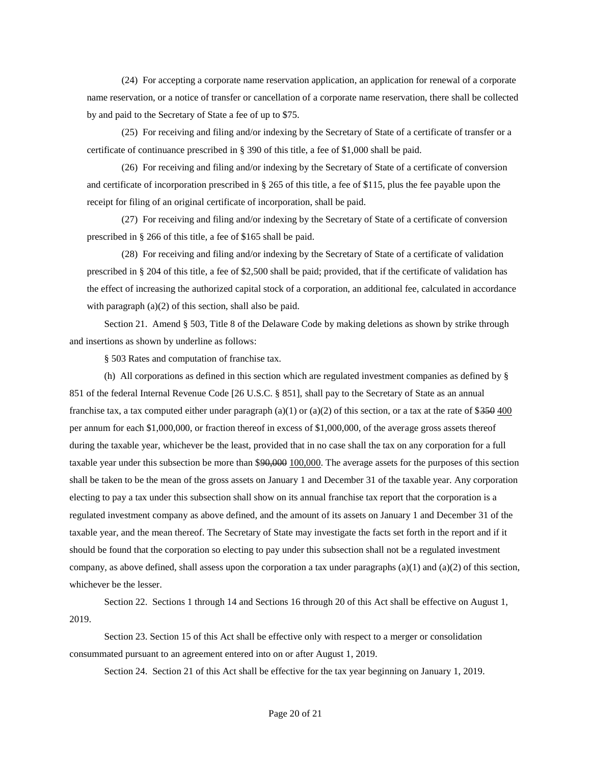(24) For accepting a corporate name reservation application, an application for renewal of a corporate name reservation, or a notice of transfer or cancellation of a corporate name reservation, there shall be collected by and paid to the Secretary of State a fee of up to \$75.

(25) For receiving and filing and/or indexing by the Secretary of State of a certificate of transfer or a certificate of continuance prescribed in § 390 of this title, a fee of \$1,000 shall be paid.

(26) For receiving and filing and/or indexing by the Secretary of State of a certificate of conversion and certificate of incorporation prescribed in § 265 of this title, a fee of \$115, plus the fee payable upon the receipt for filing of an original certificate of incorporation, shall be paid.

(27) For receiving and filing and/or indexing by the Secretary of State of a certificate of conversion prescribed in § 266 of this title, a fee of \$165 shall be paid.

(28) For receiving and filing and/or indexing by the Secretary of State of a certificate of validation prescribed in § 204 of this title, a fee of \$2,500 shall be paid; provided, that if the certificate of validation has the effect of increasing the authorized capital stock of a corporation, an additional fee, calculated in accordance with paragraph (a)(2) of this section, shall also be paid.

Section 21. Amend § 503, Title 8 of the Delaware Code by making deletions as shown by strike through and insertions as shown by underline as follows:

§ 503 Rates and computation of franchise tax.

(h) All corporations as defined in this section which are regulated investment companies as defined by § 851 of the federal Internal Revenue Code [26 U.S.C. § 851], shall pay to the Secretary of State as an annual franchise tax, a tax computed either under paragraph (a)(1) or (a)(2) of this section, or a tax at the rate of \$350 400 per annum for each \$1,000,000, or fraction thereof in excess of \$1,000,000, of the average gross assets thereof during the taxable year, whichever be the least, provided that in no case shall the tax on any corporation for a full taxable year under this subsection be more than \$90,000 100,000. The average assets for the purposes of this section shall be taken to be the mean of the gross assets on January 1 and December 31 of the taxable year. Any corporation electing to pay a tax under this subsection shall show on its annual franchise tax report that the corporation is a regulated investment company as above defined, and the amount of its assets on January 1 and December 31 of the taxable year, and the mean thereof. The Secretary of State may investigate the facts set forth in the report and if it should be found that the corporation so electing to pay under this subsection shall not be a regulated investment company, as above defined, shall assess upon the corporation a tax under paragraphs  $(a)(1)$  and  $(a)(2)$  of this section, whichever be the lesser.

Section 22. Sections 1 through 14 and Sections 16 through 20 of this Act shall be effective on August 1, 2019.

Section 23. Section 15 of this Act shall be effective only with respect to a merger or consolidation consummated pursuant to an agreement entered into on or after August 1, 2019.

Section 24. Section 21 of this Act shall be effective for the tax year beginning on January 1, 2019.